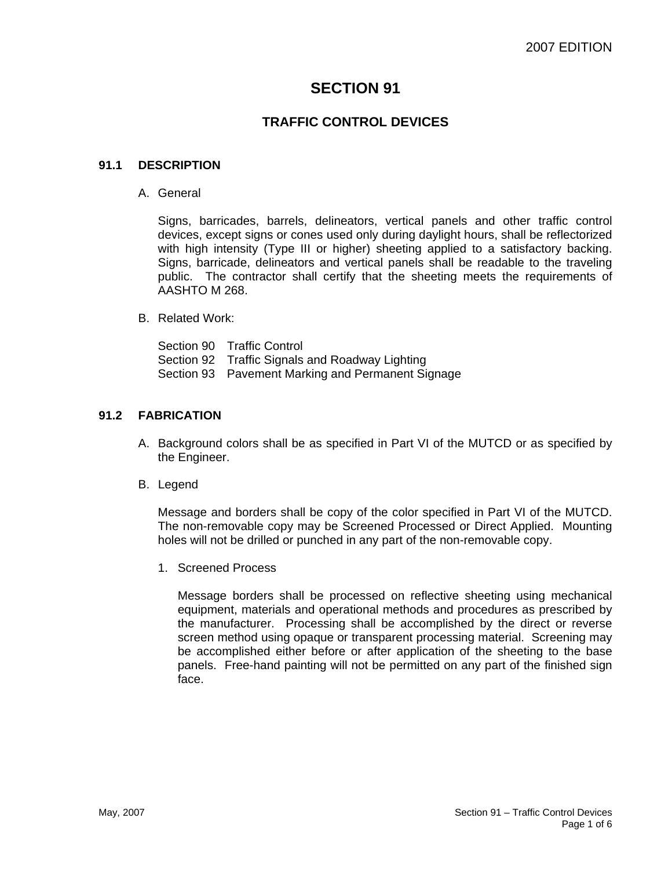# **SECTION 91**

## **TRAFFIC CONTROL DEVICES**

#### **91.1 DESCRIPTION**

A. General

Signs, barricades, barrels, delineators, vertical panels and other traffic control devices, except signs or cones used only during daylight hours, shall be reflectorized with high intensity (Type III or higher) sheeting applied to a satisfactory backing. Signs, barricade, delineators and vertical panels shall be readable to the traveling public. The contractor shall certify that the sheeting meets the requirements of AASHTO M 268.

#### B. Related Work:

Section 90 Traffic Control Section 92 Traffic Signals and Roadway Lighting Section 93 Pavement Marking and Permanent Signage

#### **91.2 FABRICATION**

- A. Background colors shall be as specified in Part VI of the MUTCD or as specified by the Engineer.
- B. Legend

Message and borders shall be copy of the color specified in Part VI of the MUTCD. The non-removable copy may be Screened Processed or Direct Applied. Mounting holes will not be drilled or punched in any part of the non-removable copy.

1. Screened Process

Message borders shall be processed on reflective sheeting using mechanical equipment, materials and operational methods and procedures as prescribed by the manufacturer. Processing shall be accomplished by the direct or reverse screen method using opaque or transparent processing material. Screening may be accomplished either before or after application of the sheeting to the base panels. Free-hand painting will not be permitted on any part of the finished sign face.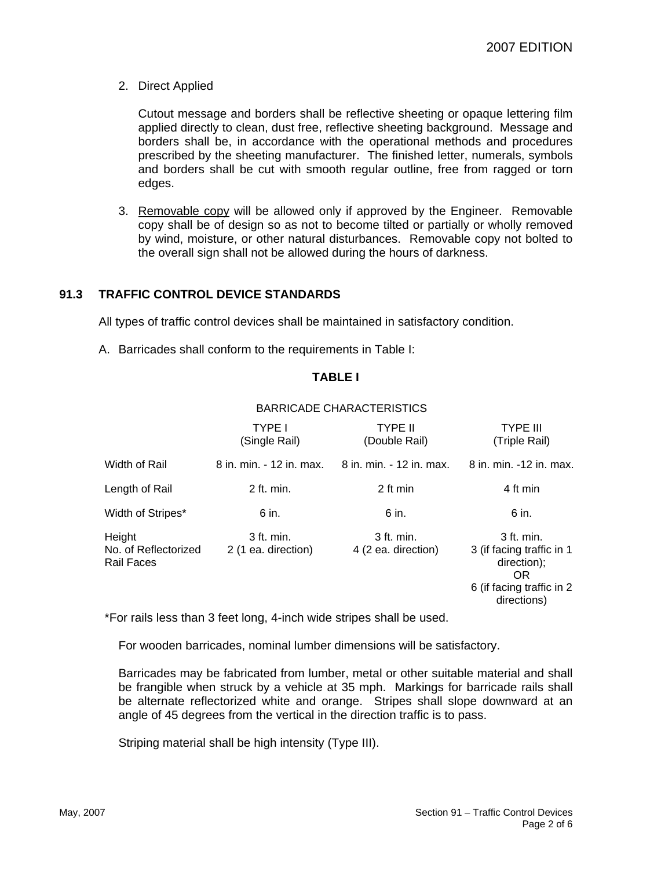2. Direct Applied

Cutout message and borders shall be reflective sheeting or opaque lettering film applied directly to clean, dust free, reflective sheeting background. Message and borders shall be, in accordance with the operational methods and procedures prescribed by the sheeting manufacturer. The finished letter, numerals, symbols and borders shall be cut with smooth regular outline, free from ragged or torn edges.

3. Removable copy will be allowed only if approved by the Engineer. Removable copy shall be of design so as not to become tilted or partially or wholly removed by wind, moisture, or other natural disturbances. Removable copy not bolted to the overall sign shall not be allowed during the hours of darkness.

## **91.3 TRAFFIC CONTROL DEVICE STANDARDS**

All types of traffic control devices shall be maintained in satisfactory condition.

A. Barricades shall conform to the requirements in Table I:

## **TABLE I**

|                                              | <b>TYPE I</b><br>(Single Rail)      | <b>TYPE II</b><br>(Double Rail)     | <b>TYPE III</b><br>(Triple Rail)                                                                           |
|----------------------------------------------|-------------------------------------|-------------------------------------|------------------------------------------------------------------------------------------------------------|
| Width of Rail                                | 8 in. min. - 12 in. max.            | 8 in. min. - 12 in. max.            | 8 in. min. -12 in. max.                                                                                    |
| Length of Rail                               | 2 ft. min.                          | 2 ft min                            | 4 ft min                                                                                                   |
| Width of Stripes*                            | 6 in.                               | 6 in.                               | 6 in.                                                                                                      |
| Height<br>No. of Reflectorized<br>Rail Faces | $3$ ft. min.<br>2 (1 ea. direction) | $3$ ft. min.<br>4 (2 ea. direction) | 3 ft. min.<br>3 (if facing traffic in 1<br>direction);<br>OR.<br>6 (if facing traffic in 2)<br>directions) |

## BARRICADE CHARACTERISTICS

\*For rails less than 3 feet long, 4-inch wide stripes shall be used.

For wooden barricades, nominal lumber dimensions will be satisfactory.

Barricades may be fabricated from lumber, metal or other suitable material and shall be frangible when struck by a vehicle at 35 mph. Markings for barricade rails shall be alternate reflectorized white and orange. Stripes shall slope downward at an angle of 45 degrees from the vertical in the direction traffic is to pass.

Striping material shall be high intensity (Type III).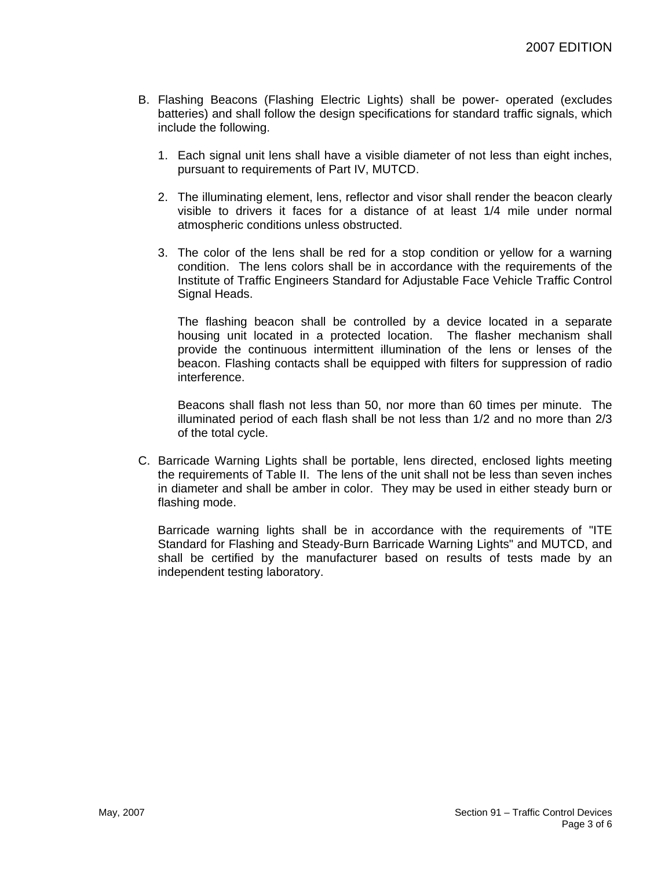- B. Flashing Beacons (Flashing Electric Lights) shall be power- operated (excludes batteries) and shall follow the design specifications for standard traffic signals, which include the following.
	- 1. Each signal unit lens shall have a visible diameter of not less than eight inches, pursuant to requirements of Part IV, MUTCD.
	- 2. The illuminating element, lens, reflector and visor shall render the beacon clearly visible to drivers it faces for a distance of at least 1/4 mile under normal atmospheric conditions unless obstructed.
	- 3. The color of the lens shall be red for a stop condition or yellow for a warning condition. The lens colors shall be in accordance with the requirements of the Institute of Traffic Engineers Standard for Adjustable Face Vehicle Traffic Control Signal Heads.

The flashing beacon shall be controlled by a device located in a separate housing unit located in a protected location. The flasher mechanism shall provide the continuous intermittent illumination of the lens or lenses of the beacon. Flashing contacts shall be equipped with filters for suppression of radio interference.

Beacons shall flash not less than 50, nor more than 60 times per minute. The illuminated period of each flash shall be not less than 1/2 and no more than 2/3 of the total cycle.

C. Barricade Warning Lights shall be portable, lens directed, enclosed lights meeting the requirements of Table II. The lens of the unit shall not be less than seven inches in diameter and shall be amber in color. They may be used in either steady burn or flashing mode.

Barricade warning lights shall be in accordance with the requirements of "ITE Standard for Flashing and Steady-Burn Barricade Warning Lights" and MUTCD, and shall be certified by the manufacturer based on results of tests made by an independent testing laboratory.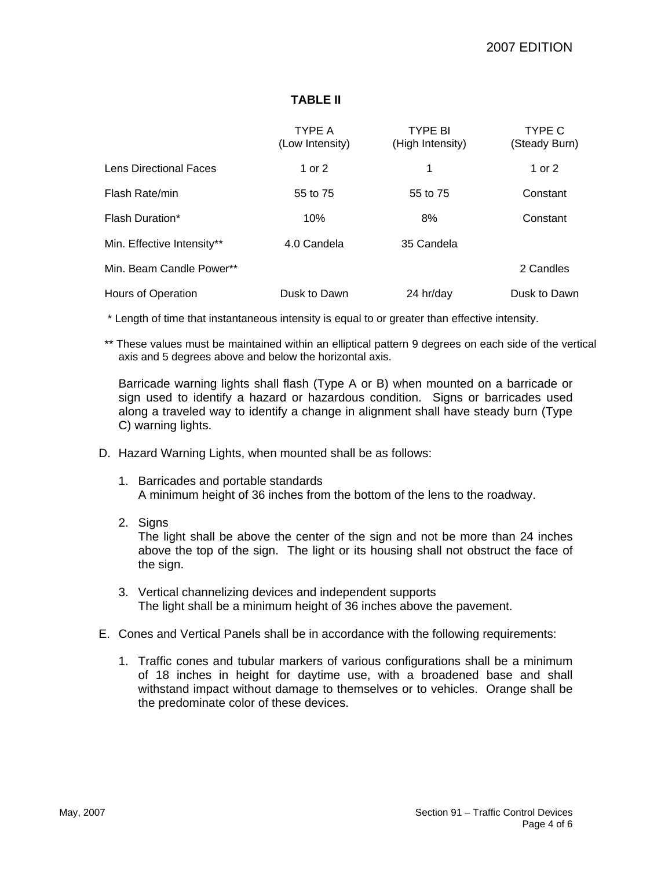## **TABLE II**

|                            | <b>TYPE A</b><br>(Low Intensity) | <b>TYPE BI</b><br>(High Intensity) | TYPE C<br>(Steady Burn) |
|----------------------------|----------------------------------|------------------------------------|-------------------------|
| Lens Directional Faces     | 1 or 2                           | 1                                  | 1 or 2                  |
| Flash Rate/min             | 55 to 75                         | 55 to 75                           | Constant                |
| Flash Duration*            | 10%                              | 8%                                 | Constant                |
| Min. Effective Intensity** | 4.0 Candela                      | 35 Candela                         |                         |
| Min. Beam Candle Power**   |                                  |                                    | 2 Candles               |
| Hours of Operation         | Dusk to Dawn                     | 24 hr/day                          | Dusk to Dawn            |

\* Length of time that instantaneous intensity is equal to or greater than effective intensity.

\*\* These values must be maintained within an elliptical pattern 9 degrees on each side of the vertical axis and 5 degrees above and below the horizontal axis.

Barricade warning lights shall flash (Type A or B) when mounted on a barricade or sign used to identify a hazard or hazardous condition. Signs or barricades used along a traveled way to identify a change in alignment shall have steady burn (Type C) warning lights.

- D. Hazard Warning Lights, when mounted shall be as follows:
	- 1. Barricades and portable standards A minimum height of 36 inches from the bottom of the lens to the roadway.
	- 2. Signs

The light shall be above the center of the sign and not be more than 24 inches above the top of the sign. The light or its housing shall not obstruct the face of the sign.

- 3. Vertical channelizing devices and independent supports The light shall be a minimum height of 36 inches above the pavement.
- E. Cones and Vertical Panels shall be in accordance with the following requirements:
	- 1. Traffic cones and tubular markers of various configurations shall be a minimum of 18 inches in height for daytime use, with a broadened base and shall withstand impact without damage to themselves or to vehicles. Orange shall be the predominate color of these devices.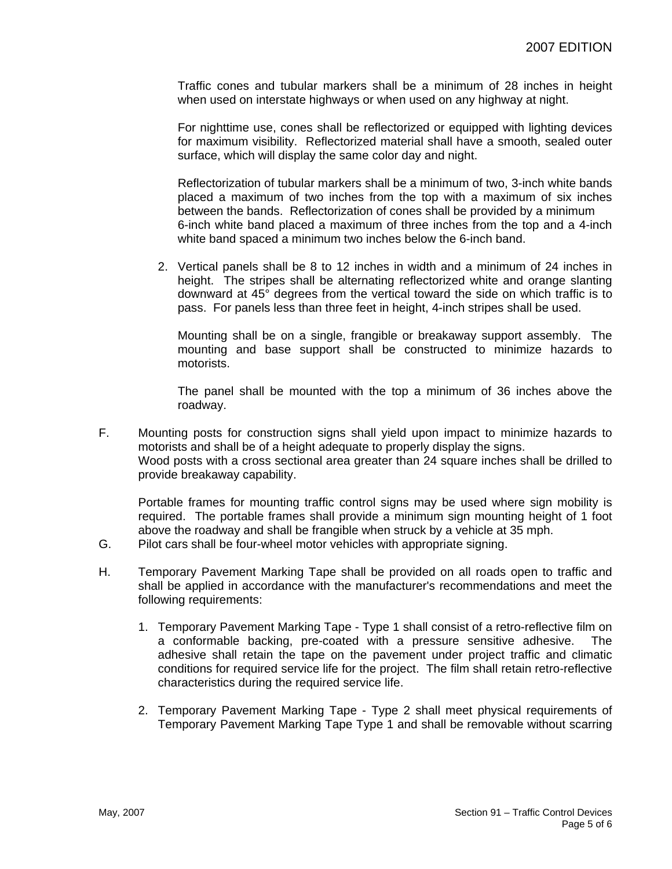Traffic cones and tubular markers shall be a minimum of 28 inches in height when used on interstate highways or when used on any highway at night.

For nighttime use, cones shall be reflectorized or equipped with lighting devices for maximum visibility. Reflectorized material shall have a smooth, sealed outer surface, which will display the same color day and night.

Reflectorization of tubular markers shall be a minimum of two, 3-inch white bands placed a maximum of two inches from the top with a maximum of six inches between the bands. Reflectorization of cones shall be provided by a minimum 6-inch white band placed a maximum of three inches from the top and a 4-inch white band spaced a minimum two inches below the 6-inch band.

2. Vertical panels shall be 8 to 12 inches in width and a minimum of 24 inches in height. The stripes shall be alternating reflectorized white and orange slanting downward at 45° degrees from the vertical toward the side on which traffic is to pass. For panels less than three feet in height, 4-inch stripes shall be used.

Mounting shall be on a single, frangible or breakaway support assembly. The mounting and base support shall be constructed to minimize hazards to motorists.

The panel shall be mounted with the top a minimum of 36 inches above the roadway.

F. Mounting posts for construction signs shall yield upon impact to minimize hazards to motorists and shall be of a height adequate to properly display the signs. Wood posts with a cross sectional area greater than 24 square inches shall be drilled to provide breakaway capability.

Portable frames for mounting traffic control signs may be used where sign mobility is required. The portable frames shall provide a minimum sign mounting height of 1 foot above the roadway and shall be frangible when struck by a vehicle at 35 mph.

- G. Pilot cars shall be four-wheel motor vehicles with appropriate signing.
- H. Temporary Pavement Marking Tape shall be provided on all roads open to traffic and shall be applied in accordance with the manufacturer's recommendations and meet the following requirements:
	- 1. Temporary Pavement Marking Tape Type 1 shall consist of a retro-reflective film on a conformable backing, pre-coated with a pressure sensitive adhesive. The adhesive shall retain the tape on the pavement under project traffic and climatic conditions for required service life for the project. The film shall retain retro-reflective characteristics during the required service life.
	- 2. Temporary Pavement Marking Tape Type 2 shall meet physical requirements of Temporary Pavement Marking Tape Type 1 and shall be removable without scarring